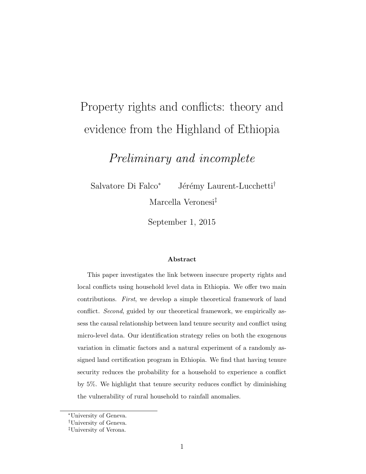# Property rights and conflicts: theory and evidence from the Highland of Ethiopia

Preliminary and incomplete

Salvatore Di Falco<sup>∗</sup> Jérémy Laurent-Lucchetti<sup>†</sup> Marcella Veronesi‡

September 1, 2015

#### Abstract

This paper investigates the link between insecure property rights and local conflicts using household level data in Ethiopia. We offer two main contributions. First, we develop a simple theoretical framework of land conflict. Second, guided by our theoretical framework, we empirically assess the causal relationship between land tenure security and conflict using micro-level data. Our identification strategy relies on both the exogenous variation in climatic factors and a natural experiment of a randomly assigned land certification program in Ethiopia. We find that having tenure security reduces the probability for a household to experience a conflict by 5%. We highlight that tenure security reduces conflict by diminishing the vulnerability of rural household to rainfall anomalies.

<sup>∗</sup>University of Geneva.

<sup>†</sup>University of Geneva.

<sup>‡</sup>University of Verona.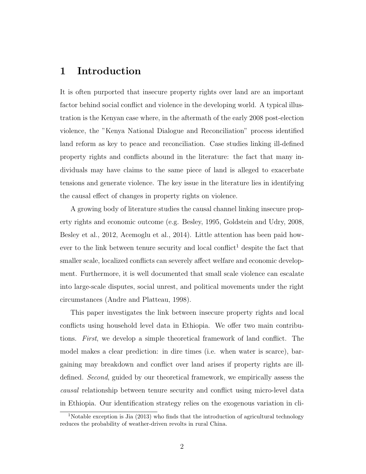# 1 Introduction

It is often purported that insecure property rights over land are an important factor behind social conflict and violence in the developing world. A typical illustration is the Kenyan case where, in the aftermath of the early 2008 post-election violence, the "Kenya National Dialogue and Reconciliation" process identified land reform as key to peace and reconciliation. Case studies linking ill-defined property rights and conflicts abound in the literature: the fact that many individuals may have claims to the same piece of land is alleged to exacerbate tensions and generate violence. The key issue in the literature lies in identifying the causal effect of changes in property rights on violence.

A growing body of literature studies the causal channel linking insecure property rights and economic outcome (e.g. Besley, 1995, Goldstein and Udry, 2008, Besley et al., 2012, Acemoglu et al., 2014). Little attention has been paid however to the link between tenure security and local conflict<sup>1</sup> despite the fact that smaller scale, localized conflicts can severely affect welfare and economic development. Furthermore, it is well documented that small scale violence can escalate into large-scale disputes, social unrest, and political movements under the right circumstances (Andre and Platteau, 1998).

This paper investigates the link between insecure property rights and local conflicts using household level data in Ethiopia. We offer two main contributions. First, we develop a simple theoretical framework of land conflict. The model makes a clear prediction: in dire times (i.e. when water is scarce), bargaining may breakdown and conflict over land arises if property rights are illdefined. Second, guided by our theoretical framework, we empirically assess the causal relationship between tenure security and conflict using micro-level data in Ethiopia. Our identification strategy relies on the exogenous variation in cli-

<sup>&</sup>lt;sup>1</sup>Notable exception is Jia  $(2013)$  who finds that the introduction of agricultural technology reduces the probability of weather-driven revolts in rural China.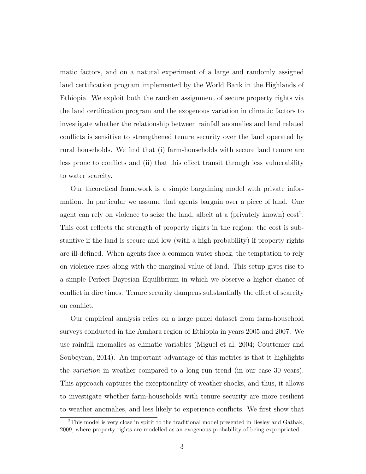matic factors, and on a natural experiment of a large and randomly assigned land certification program implemented by the World Bank in the Highlands of Ethiopia. We exploit both the random assignment of secure property rights via the land certification program and the exogenous variation in climatic factors to investigate whether the relationship between rainfall anomalies and land related conflicts is sensitive to strengthened tenure security over the land operated by rural households. We find that (i) farm-households with secure land tenure are less prone to conflicts and (ii) that this effect transit through less vulnerability to water scarcity.

Our theoretical framework is a simple bargaining model with private information. In particular we assume that agents bargain over a piece of land. One agent can rely on violence to seize the land, albeit at a (privately known)  $\cos t^2$ . This cost reflects the strength of property rights in the region: the cost is substantive if the land is secure and low (with a high probability) if property rights are ill-defined. When agents face a common water shock, the temptation to rely on violence rises along with the marginal value of land. This setup gives rise to a simple Perfect Bayesian Equilibrium in which we observe a higher chance of conflict in dire times. Tenure security dampens substantially the effect of scarcity on conflict.

Our empirical analysis relies on a large panel dataset from farm-household surveys conducted in the Amhara region of Ethiopia in years 2005 and 2007. We use rainfall anomalies as climatic variables (Miguel et al, 2004; Couttenier and Soubeyran, 2014). An important advantage of this metrics is that it highlights the variation in weather compared to a long run trend (in our case 30 years). This approach captures the exceptionality of weather shocks, and thus, it allows to investigate whether farm-households with tenure security are more resilient to weather anomalies, and less likely to experience conflicts. We first show that

<sup>2</sup>This model is very close in spirit to the traditional model presented in Besley and Gathak, 2009, where property rights are modelled as an exogenous probability of being expropriated.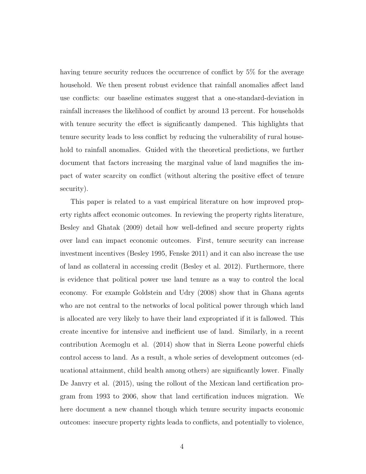having tenure security reduces the occurrence of conflict by 5% for the average household. We then present robust evidence that rainfall anomalies affect land use conflicts: our baseline estimates suggest that a one-standard-deviation in rainfall increases the likelihood of conflict by around 13 percent. For households with tenure security the effect is significantly dampened. This highlights that tenure security leads to less conflict by reducing the vulnerability of rural household to rainfall anomalies. Guided with the theoretical predictions, we further document that factors increasing the marginal value of land magnifies the impact of water scarcity on conflict (without altering the positive effect of tenure security).

This paper is related to a vast empirical literature on how improved property rights affect economic outcomes. In reviewing the property rights literature, Besley and Ghatak (2009) detail how well-defined and secure property rights over land can impact economic outcomes. First, tenure security can increase investment incentives (Besley 1995, Fenske 2011) and it can also increase the use of land as collateral in accessing credit (Besley et al. 2012). Furthermore, there is evidence that political power use land tenure as a way to control the local economy. For example Goldstein and Udry (2008) show that in Ghana agents who are not central to the networks of local political power through which land is allocated are very likely to have their land expropriated if it is fallowed. This create incentive for intensive and inefficient use of land. Similarly, in a recent contribution Acemoglu et al. (2014) show that in Sierra Leone powerful chiefs control access to land. As a result, a whole series of development outcomes (educational attainment, child health among others) are significantly lower. Finally De Janvry et al. (2015), using the rollout of the Mexican land certification program from 1993 to 2006, show that land certification induces migration. We here document a new channel though which tenure security impacts economic outcomes: insecure property rights leada to conflicts, and potentially to violence,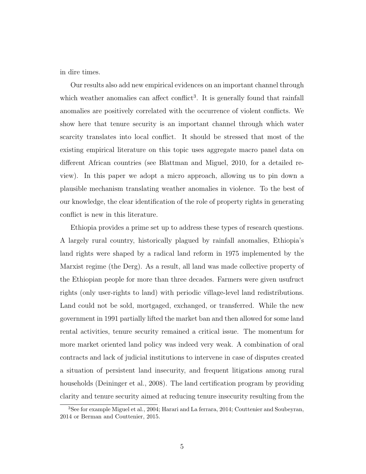in dire times.

Our results also add new empirical evidences on an important channel through which weather anomalies can affect conflict<sup>3</sup>. It is generally found that rainfall anomalies are positively correlated with the occurrence of violent conflicts. We show here that tenure security is an important channel through which water scarcity translates into local conflict. It should be stressed that most of the existing empirical literature on this topic uses aggregate macro panel data on different African countries (see Blattman and Miguel, 2010, for a detailed review). In this paper we adopt a micro approach, allowing us to pin down a plausible mechanism translating weather anomalies in violence. To the best of our knowledge, the clear identification of the role of property rights in generating conflict is new in this literature.

Ethiopia provides a prime set up to address these types of research questions. A largely rural country, historically plagued by rainfall anomalies, Ethiopia's land rights were shaped by a radical land reform in 1975 implemented by the Marxist regime (the Derg). As a result, all land was made collective property of the Ethiopian people for more than three decades. Farmers were given usufruct rights (only user-rights to land) with periodic village-level land redistributions. Land could not be sold, mortgaged, exchanged, or transferred. While the new government in 1991 partially lifted the market ban and then allowed for some land rental activities, tenure security remained a critical issue. The momentum for more market oriented land policy was indeed very weak. A combination of oral contracts and lack of judicial institutions to intervene in case of disputes created a situation of persistent land insecurity, and frequent litigations among rural households (Deininger et al., 2008). The land certification program by providing clarity and tenure security aimed at reducing tenure insecurity resulting from the

<sup>3</sup>See for example Miguel et al., 2004; Harari and La ferrara, 2014; Couttenier and Soubeyran, 2014 or Berman and Couttenier, 2015.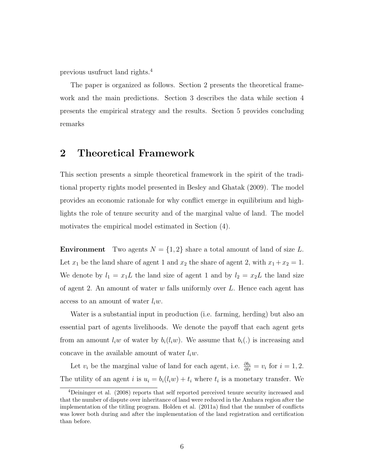previous usufruct land rights.<sup>4</sup>

The paper is organized as follows. Section 2 presents the theoretical framework and the main predictions. Section 3 describes the data while section 4 presents the empirical strategy and the results. Section 5 provides concluding remarks

# 2 Theoretical Framework

This section presents a simple theoretical framework in the spirit of the traditional property rights model presented in Besley and Ghatak (2009). The model provides an economic rationale for why conflict emerge in equilibrium and highlights the role of tenure security and of the marginal value of land. The model motivates the empirical model estimated in Section (4).

**Environment** Two agents  $N = \{1, 2\}$  share a total amount of land of size L. Let  $x_1$  be the land share of agent 1 and  $x_2$  the share of agent 2, with  $x_1 + x_2 = 1$ . We denote by  $l_1 = x_1L$  the land size of agent 1 and by  $l_2 = x_2L$  the land size of agent 2. An amount of water  $w$  falls uniformly over  $L$ . Hence each agent has access to an amount of water  $l_i w$ .

Water is a substantial input in production (i.e. farming, herding) but also an essential part of agents livelihoods. We denote the payoff that each agent gets from an amount  $l_i w$  of water by  $b_i(l_i w)$ . We assume that  $b_i(.)$  is increasing and concave in the available amount of water  $l_i w$ .

Let  $v_i$  be the marginal value of land for each agent, i.e.  $\frac{\partial b_i}{\partial l_i} = v_i$  for  $i = 1, 2$ . The utility of an agent *i* is  $u_i = b_i(l_i w) + t_i$  where  $t_i$  is a monetary transfer. We

<sup>4</sup>Deininger et al. (2008) reports that self reported perceived tenure security increased and that the number of dispute over inheritance of land were reduced in the Amhara region after the implementation of the titling program. Holden et al. (2011a) find that the number of conflicts was lower both during and after the implementation of the land registration and certification than before.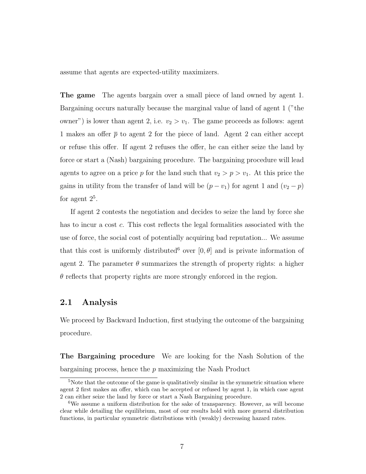assume that agents are expected-utility maximizers.

The game The agents bargain over a small piece of land owned by agent 1. Bargaining occurs naturally because the marginal value of land of agent 1 ("the owner") is lower than agent 2, i.e.  $v_2 > v_1$ . The game proceeds as follows: agent 1 makes an offer  $\bar{p}$  to agent 2 for the piece of land. Agent 2 can either accept or refuse this offer. If agent 2 refuses the offer, he can either seize the land by force or start a (Nash) bargaining procedure. The bargaining procedure will lead agents to agree on a price p for the land such that  $v_2 > p > v_1$ . At this price the gains in utility from the transfer of land will be  $(p - v_1)$  for agent 1 and  $(v_2 - p)$ for agent  $2^5$ .

If agent 2 contests the negotiation and decides to seize the land by force she has to incur a cost c. This cost reflects the legal formalities associated with the use of force, the social cost of potentially acquiring bad reputation... We assume that this cost is uniformly distributed<sup>6</sup> over [0,  $\theta$ ] and is private information of agent 2. The parameter  $\theta$  summarizes the strength of property rights: a higher  $\theta$  reflects that property rights are more strongly enforced in the region.

### 2.1 Analysis

We proceed by Backward Induction, first studying the outcome of the bargaining procedure.

The Bargaining procedure We are looking for the Nash Solution of the bargaining process, hence the p maximizing the Nash Product

<sup>&</sup>lt;sup>5</sup>Note that the outcome of the game is qualitatively similar in the symmetric situation where agent 2 first makes an offer, which can be accepted or refused by agent 1, in which case agent 2 can either seize the land by force or start a Nash Bargaining procedure.

<sup>6</sup>We assume a uniform distribution for the sake of transparency. However, as will become clear while detailing the equilibrium, most of our results hold with more general distribution functions, in particular symmetric distributions with (weakly) decreasing hazard rates.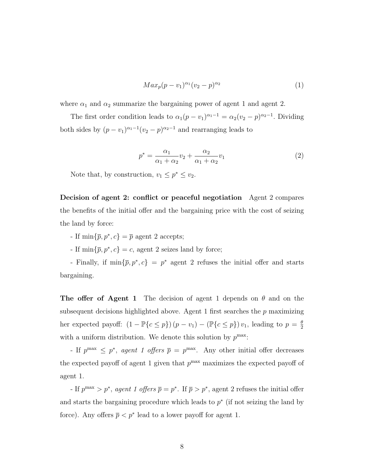$$
Max_p(p - v_1)^{\alpha_1}(v_2 - p)^{\alpha_2} \tag{1}
$$

where  $\alpha_1$  and  $\alpha_2$  summarize the bargaining power of agent 1 and agent 2.

The first order condition leads to  $\alpha_1(p-v_1)^{\alpha_1-1} = \alpha_2(v_2-p)^{\alpha_2-1}$ . Dividing both sides by  $(p - v_1)^{\alpha_1 - 1} (v_2 - p)^{\alpha_2 - 1}$  and rearranging leads to

$$
p^* = \frac{\alpha_1}{\alpha_1 + \alpha_2} v_2 + \frac{\alpha_2}{\alpha_1 + \alpha_2} v_1 \tag{2}
$$

Note that, by construction,  $v_1 \leq p^* \leq v_2$ .

Decision of agent 2: conflict or peaceful negotiation Agent 2 compares the benefits of the initial offer and the bargaining price with the cost of seizing the land by force:

- If  $\min\{\bar{p}, p^*, c\} = \bar{p}$  agent 2 accepts;

If  $\min\{\bar{p}, p^*, c\} = c$ , agent 2 seizes land by force;

Finally, if  $\min\{\bar{p}, p^*, c\} = p^*$  agent 2 refuses the initial offer and starts bargaining.

**The offer of Agent 1** The decision of agent 1 depends on  $\theta$  and on the subsequent decisions highlighted above. Agent 1 first searches the  $p$  maximizing her expected payoff:  $(1 - \mathbb{P}\{c \leq p\}) (p - v_1) - (\mathbb{P}\{c \leq p\}) v_1$ , leading to  $p = \frac{\theta}{2}$ 2 with a uniform distribution. We denote this solution by  $p^{\max}$ :

- If  $p^{\max} \leq p^*$ , agent 1 offers  $\bar{p} = p^{\max}$ . Any other initial offer decreases the expected payoff of agent 1 given that  $p^{\text{max}}$  maximizes the expected payoff of agent 1.

- If  $p^{\max} > p^*$ , agent 1 offers  $\overline{p} = p^*$ . If  $\overline{p} > p^*$ , agent 2 refuses the initial offer and starts the bargaining procedure which leads to  $p^*$  (if not seizing the land by force). Any offers  $\bar{p} < p^*$  lead to a lower payoff for agent 1.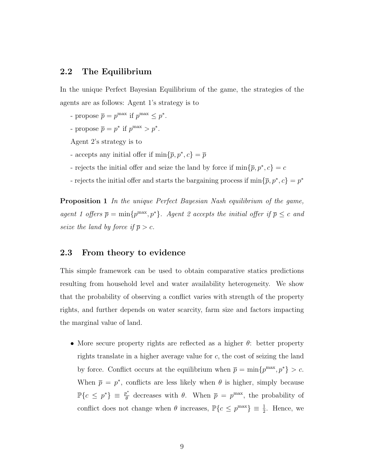# 2.2 The Equilibrium

In the unique Perfect Bayesian Equilibrium of the game, the strategies of the agents are as follows: Agent 1's strategy is to

- propose  $\overline{p} = p^{\max}$  if  $p^{\max} \leq p^*$ .
- propose  $\overline{p} = p^*$  if  $p^{\text{max}} > p^*$ .
- Agent 2's strategy is to
- accepts any initial offer if  $\min\{\bar{p}, p^*, c\} = \bar{p}$
- rejects the initial offer and seize the land by force if  $\min\{\bar{p}, p^*, c\} = c$
- rejects the initial offer and starts the bargaining process if  $\min\{\bar{p}, p^*, c\} = p^*$

Proposition 1 In the unique Perfect Bayesian Nash equilibrium of the game, agent 1 offers  $\bar{p} = \min\{p^{\max}, p^*\}$ . Agent 2 accepts the initial offer if  $\bar{p} \leq c$  and seize the land by force if  $\bar{p} > c$ .

### 2.3 From theory to evidence

This simple framework can be used to obtain comparative statics predictions resulting from household level and water availability heterogeneity. We show that the probability of observing a conflict varies with strength of the property rights, and further depends on water scarcity, farm size and factors impacting the marginal value of land.

• More secure property rights are reflected as a higher  $\theta$ : better property rights translate in a higher average value for c, the cost of seizing the land by force. Conflict occurs at the equilibrium when  $\bar{p} = \min\{p^{\max}, p^*\} > c$ . When  $\bar{p} = p^*$ , conflicts are less likely when  $\theta$  is higher, simply because  $\mathbb{P}\{c \leq p^*\} \equiv \frac{p^*}{\theta}$  $\bar{\theta}^*$  decreases with  $\theta$ . When  $\bar{p} = p^{\max}$ , the probability of conflict does not change when  $\theta$  increases,  $\mathbb{P}\{c \leq p^{\max}\}\equiv \frac{1}{2}$ . Hence, we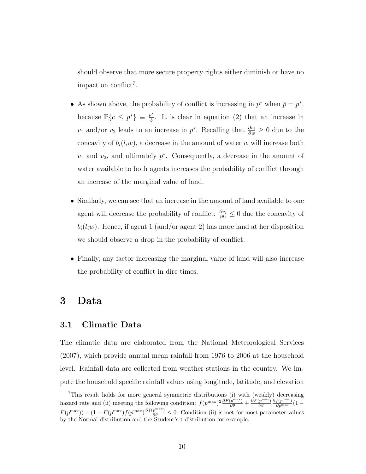should observe that more secure property rights either diminish or have no impact on conflict<sup>7</sup>.

- As shown above, the probability of conflict is increasing in  $p^*$  when  $\overline{p} = p^*$ , because  $\mathbb{P}\{c \leq p^*\} \equiv \frac{p^*}{b}$  $\frac{\partial^2}{\partial b}$ . It is clear in equation (2) that an increase in  $v_1$  and/or  $v_2$  leads to an increase in  $p^*$ . Recalling that  $\frac{\partial v_i}{\partial w} \geq 0$  due to the concavity of  $b_i(l_iw)$ , a decrease in the amount of water w will increase both  $v_1$  and  $v_2$ , and ultimately  $p^*$ . Consequently, a decrease in the amount of water available to both agents increases the probability of conflict through an increase of the marginal value of land.
- Similarly, we can see that an increase in the amount of land available to one agent will decrease the probability of conflict:  $\frac{\partial v_i}{\partial l_i} \leq 0$  due the concavity of  $b_i(l_iw)$ . Hence, if agent 1 (and/or agent 2) has more land at her disposition we should observe a drop in the probability of conflict.
- Finally, any factor increasing the marginal value of land will also increase the probability of conflict in dire times.

# 3 Data

# 3.1 Climatic Data

The climatic data are elaborated from the National Meteorological Services (2007), which provide annual mean rainfall from 1976 to 2006 at the household level. Rainfall data are collected from weather stations in the country. We impute the household specific rainfall values using longitude, latitude, and elevation

<sup>&</sup>lt;sup>7</sup>This result holds for more general symmetric distributions (i) with (weakly) decreasing hazard rate and (ii) meeting the following condition:  $f(p^{\max})^2 \frac{\partial F(p^{\max})}{\partial \theta} + \frac{\partial F(p^{\max})}{\partial \theta}$ ∂θ  $\frac{\partial f(p^{\text{max}})}{\partial p^{\text{max}}} (1 F(p^{\max}) - (1 - F(p^{\max})f(p^{\max})\frac{\partial f(p^{\max})}{\partial \theta} \leq 0$ . Condition (ii) is met for most parameter values by the Normal distribution and the Student's t-distribution for example.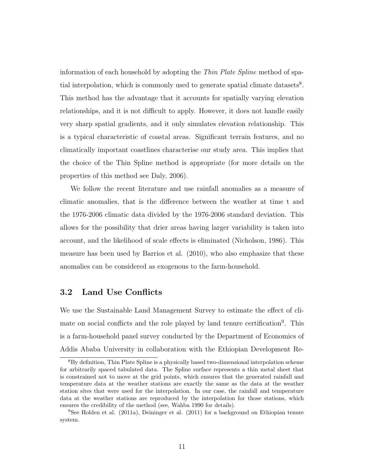information of each household by adopting the Thin Plate Spline method of spatial interpolation, which is commonly used to generate spatial climate datasets<sup>8</sup>. This method has the advantage that it accounts for spatially varying elevation relationships, and it is not difficult to apply. However, it does not handle easily very sharp spatial gradients, and it only simulates elevation relationship. This is a typical characteristic of coastal areas. Significant terrain features, and no climatically important coastlines characterise our study area. This implies that the choice of the Thin Spline method is appropriate (for more details on the properties of this method see Daly, 2006).

We follow the recent literature and use rainfall anomalies as a measure of climatic anomalies, that is the difference between the weather at time t and the 1976-2006 climatic data divided by the 1976-2006 standard deviation. This allows for the possibility that drier areas having larger variability is taken into account, and the likelihood of scale effects is eliminated (Nicholson, 1986). This measure has been used by Barrios et al. (2010), who also emphasize that these anomalies can be considered as exogenous to the farm-household.

### 3.2 Land Use Conflicts

We use the Sustainable Land Management Survey to estimate the effect of climate on social conflicts and the role played by land tenure certification<sup>9</sup>. This is a farm-household panel survey conducted by the Department of Economics of Addis Ababa University in collaboration with the Ethiopian Development Re-

<sup>8</sup>By definition, Thin Plate Spline is a physically based two-dimensional interpolation scheme for arbitrarily spaced tabulated data. The Spline surface represents a thin metal sheet that is constrained not to move at the grid points, which ensures that the generated rainfall and temperature data at the weather stations are exactly the same as the data at the weather station sites that were used for the interpolation. In our case, the rainfall and temperature data at the weather stations are reproduced by the interpolation for those stations, which ensures the credibility of the method (see, Wahba 1990 for details).

<sup>&</sup>lt;sup>9</sup>See Holden et al. (2011a), Deininger et al. (2011) for a background on Ethiopian tenure system.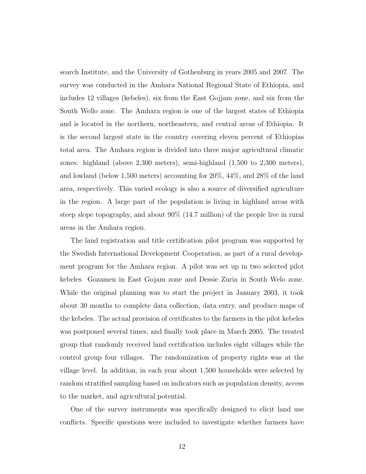search Institute, and the University of Gothenburg in years 2005 and 2007. The survey was conducted in the Amhara National Regional State of Ethiopia, and includes 12 villages (kebeles), six from the East Gojjam zone, and six from the South Wello zone. The Amhara region is one of the largest states of Ethiopia and is located in the northern, northeastern, and central areas of Ethiopia. It is the second largest state in the country covering eleven percent of Ethiopias total area. The Amhara region is divided into three major agricultural climatic zones: highland (above 2,300 meters), semi-highland (1,500 to 2,300 meters), and lowland (below 1,500 meters) accounting for 20%, 44%, and 28% of the land area, respectively. This varied ecology is also a source of diversified agriculture in the region. A large part of the population is living in highland areas with steep slope topography, and about 90% (14.7 million) of the people live in rural areas in the Amhara region.

The land registration and title certification pilot program was supported by the Swedish International Development Cooperation, as part of a rural development program for the Amhara region. A pilot was set up in two selected pilot kebeles Gozamen in East Gojam zone and Dessie Zuria in South Welo zone. While the original planning was to start the project in January 2003, it took about 30 months to complete data collection, data entry, and produce maps of the kebeles. The actual provision of certificates to the farmers in the pilot kebeles was postponed several times, and finally took place in March 2005. The treated group that randomly received land certification includes eight villages while the control group four villages. The randomization of property rights was at the village level. In addition, in each year about 1,500 households were selected by random stratified sampling based on indicators such as population density, access to the market, and agricultural potential.

One of the survey instruments was specifically designed to elicit land use conflicts. Specific questions were included to investigate whether farmers have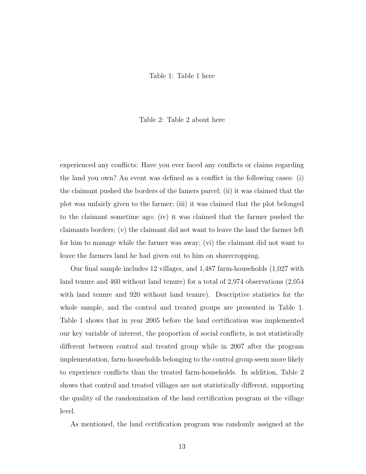#### Table 1: Table 1 here

#### Table 2: Table 2 about here

experienced any conflicts: Have you ever faced any conflicts or claims regarding the land you own? An event was defined as a conflict in the following cases: (i) the claimant pushed the borders of the famers parcel; (ii) it was claimed that the plot was unfairly given to the farmer; (iii) it was claimed that the plot belonged to the claimant sometime ago; (iv) it was claimed that the farmer pushed the claimants borders; (v) the claimant did not want to leave the land the farmer left for him to manage while the farmer was away; (vi) the claimant did not want to leave the farmers land he had given out to him on sharecropping.

Our final sample includes 12 villages, and 1,487 farm-households (1,027 with land tenure and 460 without land tenure) for a total of 2,974 observations (2,054 with land tenure and 920 without land tenure). Descriptive statistics for the whole sample, and the control and treated groups are presented in Table 1. Table 1 shows that in year 2005 before the land certification was implemented our key variable of interest, the proportion of social conflicts, is not statistically different between control and treated group while in 2007 after the program implementation, farm-households belonging to the control group seem more likely to experience conflicts than the treated farm-households. In addition, Table 2 shows that control and treated villages are not statistically different, supporting the quality of the randomization of the land certification program at the village level.

As mentioned, the land certification program was randomly assigned at the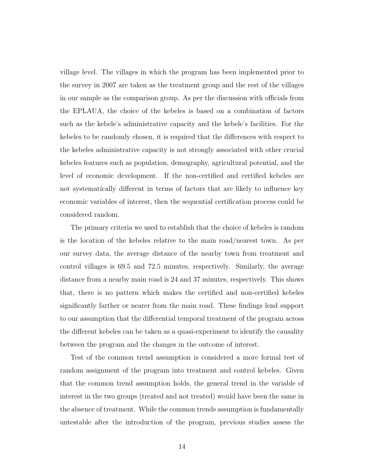village level. The villages in which the program has been implemented prior to the survey in 2007 are taken as the treatment group and the rest of the villages in our sample as the comparison group. As per the discussion with officials from the EPLAUA, the choice of the kebeles is based on a combination of factors such as the kebele's administrative capacity and the kebele's facilities. For the kebeles to be randomly chosen, it is required that the differences with respect to the kebeles administrative capacity is not strongly associated with other crucial kebeles features such as population, demography, agricultural potential, and the level of economic development. If the non-certified and certified kebeles are not systematically different in terms of factors that are likely to influence key economic variables of interest, then the sequential certification process could be considered random.

The primary criteria we used to establish that the choice of kebeles is random is the location of the kebeles relative to the main road/nearest town. As per our survey data, the average distance of the nearby town from treatment and control villages is 69.5 and 72.5 minutes, respectively. Similarly, the average distance from a nearby main road is 24 and 37 minutes, respectively. This shows that, there is no pattern which makes the certified and non-certified kebeles significantly farther or nearer from the main road. These findings lend support to our assumption that the differential temporal treatment of the program across the different kebeles can be taken as a quasi-experiment to identify the causality between the program and the changes in the outcome of interest.

Test of the common trend assumption is considered a more formal test of random assignment of the program into treatment and control kebeles. Given that the common trend assumption holds, the general trend in the variable of interest in the two groups (treated and not treated) would have been the same in the absence of treatment. While the common trends assumption is fundamentally untestable after the introduction of the program, previous studies assess the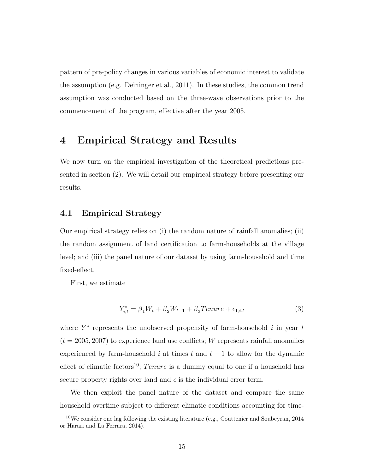pattern of pre-policy changes in various variables of economic interest to validate the assumption (e.g. Deininger et al., 2011). In these studies, the common trend assumption was conducted based on the three-wave observations prior to the commencement of the program, effective after the year 2005.

# 4 Empirical Strategy and Results

We now turn on the empirical investigation of the theoretical predictions presented in section (2). We will detail our empirical strategy before presenting our results.

### 4.1 Empirical Strategy

Our empirical strategy relies on (i) the random nature of rainfall anomalies; (ii) the random assignment of land certification to farm-households at the village level; and (iii) the panel nature of our dataset by using farm-household and time fixed-effect.

First, we estimate

$$
Y_{i,t}^* = \beta_1 W_t + \beta_2 W_{t-1} + \beta_3 Tenure + \epsilon_{1,i,t}
$$
\n
$$
\tag{3}
$$

where  $Y^*$  represents the unobserved propensity of farm-household i in year t  $(t = 2005, 2007)$  to experience land use conflicts; W represents rainfall anomalies experienced by farm-household i at times t and  $t - 1$  to allow for the dynamic effect of climatic factors<sup>10</sup>; Tenure is a dummy equal to one if a household has secure property rights over land and  $\epsilon$  is the individual error term.

We then exploit the panel nature of the dataset and compare the same household overtime subject to different climatic conditions accounting for time-

 $10$ We consider one lag following the existing literature (e.g., Couttenier and Soubeyran, 2014 or Harari and La Ferrara, 2014).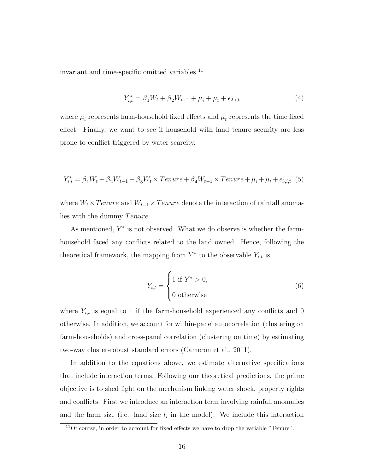invariant and time-specific omitted variables <sup>11</sup>

$$
Y_{i,t}^* = \beta_1 W_t + \beta_2 W_{t-1} + \mu_i + \mu_t + \epsilon_{2,i,t}
$$
\n<sup>(4)</sup>

where  $\mu_i$  represents farm-household fixed effects and  $\mu_t$  represents the time fixed effect. Finally, we want to see if household with land tenure security are less prone to conflict triggered by water scarcity,

$$
Y_{i,t}^* = \beta_1 W_t + \beta_2 W_{t-1} + \beta_3 W_t \times Tenure + \beta_4 W_{t-1} \times Tenure + \mu_i + \mu_t + \epsilon_{3,i,t} (5)
$$

where  $W_t \times T$  enure and  $W_{t-1} \times T$  enure denote the interaction of rainfall anomalies with the dummy *Tenure*.

As mentioned,  $Y^*$  is not observed. What we do observe is whether the farmhousehold faced any conflicts related to the land owned. Hence, following the theoretical framework, the mapping from  $Y^*$  to the observable  $Y_{i,t}$  is

$$
Y_{i,t} = \begin{cases} 1 \text{ if } Y^* > 0, \\ 0 \text{ otherwise} \end{cases}
$$
 (6)

where  $Y_{i,t}$  is equal to 1 if the farm-household experienced any conflicts and 0 otherwise. In addition, we account for within-panel autocorrelation (clustering on farm-households) and cross-panel correlation (clustering on time) by estimating two-way cluster-robust standard errors (Cameron et al., 2011).

In addition to the equations above, we estimate alternative specifications that include interaction terms. Following our theoretical predictions, the prime objective is to shed light on the mechanism linking water shock, property rights and conflicts. First we introduce an interaction term involving rainfall anomalies and the farm size (i.e. land size  $l_i$  in the model). We include this interaction

<sup>11</sup>Of course, in order to account for fixed effects we have to drop the variable "Tenure".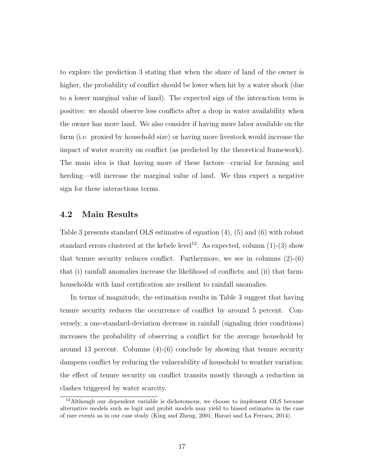to explore the prediction 3 stating that when the share of land of the owner is higher, the probability of conflict should be lower when hit by a water shock (due to a lower marginal value of land). The expected sign of the interaction term is positive: we should observe less conflicts after a drop in water availability when the owner has more land. We also consider if having more labor available on the farm (i.e. proxied by household size) or having more livestock would increase the impact of water scarcity on conflict (as predicted by the theoretical framework). The main idea is that having more of these factors—crucial for farming and herding—will increase the marginal value of land. We thus expect a negative sign for these interactions terms.

# 4.2 Main Results

Table 3 presents standard OLS estimates of equation (4), (5) and (6) with robust standard errors clustered at the kebele level<sup>12</sup>. As expected, column  $(1)-(3)$  show that tenure security reduces conflict. Furthermore, we see in columns  $(2)-(6)$ that (i) rainfall anomalies increase the likelihood of conflicts; and (ii) that farmhouseholds with land certification are resilient to rainfall anomalies.

In terms of magnitude, the estimation results in Table 3 suggest that having tenure security reduces the occurrence of conflict by around 5 percent. Conversely, a one-standard-deviation decrease in rainfall (signaling drier conditions) increases the probability of observing a conflict for the average household by around 13 percent. Columns  $(4)-(6)$  conclude by showing that tenure security dampens conflict by reducing the vulnerability of household to weather variation: the effect of tenure security on conflict transits mostly through a reduction in clashes triggered by water scarcity.

 $12$ Although our dependent variable is dichotomous, we choose to implement OLS because alternative models such as logit and probit models may yield to biased estimates in the case of rare events as in our case study (King and Zheng, 2001; Harari and La Ferrara, 2014).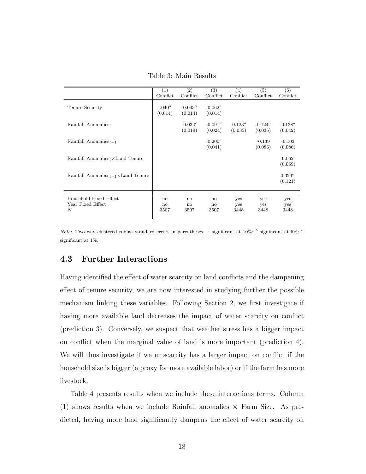$(1)$   $(2)$   $(3)$   $(4)$   $(5)$   $(6)$ Conflict Conflict Conflict Conflict Conflict Conflict Tenure Security  $-0.040^a$   $-0.043^a$   $-0.062^a$  $(0.014)$   $(0.014)$   $(0.014)$ Rainfall Anomalies $_t$  -0.032<sup>c</sup>  $-0.091^a$   $-0.123^a$   $-0.124^a$   $-0.138^a$  $(0.019)$   $(0.024)$   $(0.035)$   $(0.035)$   $(0.042)$  $\text{Rainfall}\,\,\text{A}{\text{nomalies}}_{t-1}$  -0.200<sup>a</sup> -0.139 -0.103<br>(0.041) (0.086) (0.086) (0.086)  $(0.086)$ Rainfall Anomaliest×Land Tenure  $0.062$ (0.069) Rainfall Anomaliest $_{t-1} \times$ Land Tenure  $0.324^a$ (0.121) Household Fixed Effect no no no yes yes yes Year Fixed Effect 1988 is the notation of the notation of the set of the set of the set of the set of the set of the set of the set of the set of the set of the set of the set of the set of the set of the set of the set of N 3507 3507 3507 3448 3448 3448

Table 3: Main Results

Note: Two way clustered robust standard errors in parentheses. <sup>c</sup> significant at 10%; <sup>b</sup> significant at 5%; <sup>a</sup> significant at 1%.

### 4.3 Further Interactions

Having identified the effect of water scarcity on land conflicts and the dampening effect of tenure security, we are now interested in studying further the possible mechanism linking these variables. Following Section 2, we first investigate if having more available land decreases the impact of water scarcity on conflict (prediction 3). Conversely, we suspect that weather stress has a bigger impact on conflict when the marginal value of land is more important (prediction 4). We will thus investigate if water scarcity has a larger impact on conflict if the household size is bigger (a proxy for more available labor) or if the farm has more livestock.

Table 4 presents results when we include these interactions terms. Column  $(1)$  shows results when we include Rainfall anomalies  $\times$  Farm Size. As predicted, having more land significantly dampens the effect of water scarcity on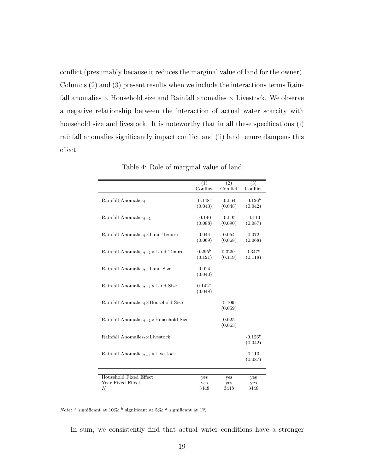conflict (presumably because it reduces the marginal value of land for the owner). Columns (2) and (3) present results when we include the interactions terms Rainfall anomalies  $\times$  Household size and Rainfall anomalies  $\times$  Livestock. We observe a negative relationship between the interaction of actual water scarcity with household size and livestock. It is noteworthy that in all these specifications (i) rainfall anomalies significantly impact conflict and (ii) land tenure dampens this effect.

|                                                      | (1)<br>Conflict       | (2)                  | $\overline{(3)}$       |
|------------------------------------------------------|-----------------------|----------------------|------------------------|
|                                                      |                       | Conflict             | Conflict               |
| Rainfall Anomalies $_t$                              | $-0.148^a$<br>(0.043) | $-0.064$<br>(0.048)  | $-0.126^b$<br>(0.042)  |
| Rainfall Anomalies $_{t-1}$                          | $-0.140$<br>(0.088)   | $-0.095$<br>(0.090)  | $-0.110$<br>(0.087)    |
| Rainfall Anomalies <sub>t</sub> $\times$ Land Tenure | 0.044<br>(0.069)      | 0.054<br>(0.068)     | 0.072<br>(0.068)       |
| Rainfall Anomalies $_{t-1}$ ×Land Tenure             | $0.295^b$<br>(0.121)  | $0.325^a$<br>(0.119) | $0.347^{b}$<br>(0.118) |
| Rainfall Anomalies <sub>t</sub> $\times$ Land Size   | 0.024<br>(0.040)      |                      |                        |
| Rainfall Anomalies $_{t-1}$ ×Land Size               | $0.142^a$<br>(0.048)  |                      |                        |
| Rainfall Anomalies $_t \times$ Household Size        |                       | $-0.109c$<br>(0.059) |                        |
| Rainfall Anomalies $_{t-1}$ ×Household Size          |                       | 0.025<br>(0.063)     |                        |
| Rainfall Anomalies <sub>t</sub> $\times$ Livestock   |                       |                      | $-0.126^b$<br>(0.042)  |
| Rainfall Anomalies $_{t-1}$ × Livestock              |                       |                      | 0.110<br>(0.087)       |
|                                                      |                       |                      |                        |
| Household Fixed Effect                               | yes                   | yes                  | yes                    |
| Year Fixed Effect                                    | yes                   | yes                  | yes                    |
| N                                                    | 3448                  | 3448                 | 3448                   |

Table 4: Role of marginal value of land

*Note*: <sup>c</sup> significant at 10%; <sup>b</sup> significant at 5%; <sup>a</sup> significant at 1%.

In sum, we consistently find that actual water conditions have a stronger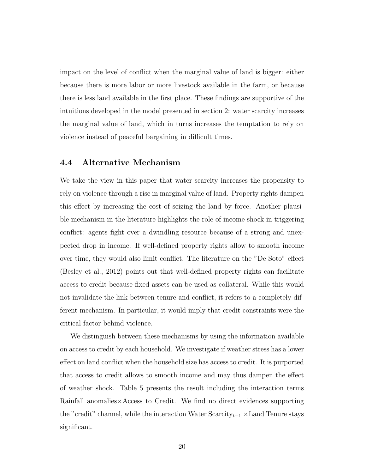impact on the level of conflict when the marginal value of land is bigger: either because there is more labor or more livestock available in the farm, or because there is less land available in the first place. These findings are supportive of the intuitions developed in the model presented in section 2: water scarcity increases the marginal value of land, which in turns increases the temptation to rely on violence instead of peaceful bargaining in difficult times.

### 4.4 Alternative Mechanism

We take the view in this paper that water scarcity increases the propensity to rely on violence through a rise in marginal value of land. Property rights dampen this effect by increasing the cost of seizing the land by force. Another plausible mechanism in the literature highlights the role of income shock in triggering conflict: agents fight over a dwindling resource because of a strong and unexpected drop in income. If well-defined property rights allow to smooth income over time, they would also limit conflict. The literature on the "De Soto" effect (Besley et al., 2012) points out that well-defined property rights can facilitate access to credit because fixed assets can be used as collateral. While this would not invalidate the link between tenure and conflict, it refers to a completely different mechanism. In particular, it would imply that credit constraints were the critical factor behind violence.

We distinguish between these mechanisms by using the information available on access to credit by each household. We investigate if weather stress has a lower effect on land conflict when the household size has access to credit. It is purported that access to credit allows to smooth income and may thus dampen the effect of weather shock. Table 5 presents the result including the interaction terms Rainfall anomalies×Access to Credit. We find no direct evidences supporting the "credit" channel, while the interaction Water  $Scarcity_{t-1} \times Land$  Tenure stays significant.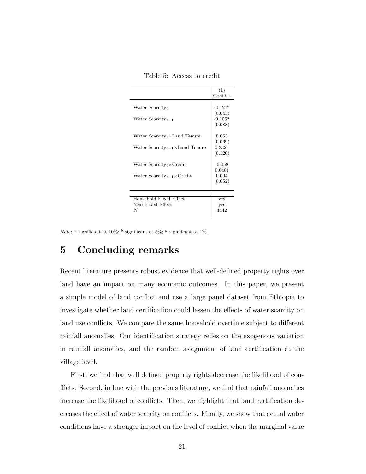|                                                      | (1)                                |
|------------------------------------------------------|------------------------------------|
|                                                      | Conflict                           |
| Water $S\text{carcity}_t$<br>Water Scarcity $_{t-1}$ | $-0.127b$<br>(0.043)<br>$-0.105^a$ |
| Water $Scarcity_t \times Land$ Tenure                | (0.088)<br>0.063<br>(0.069)        |
| Water $Scarcity_{t-1} \times Land$ Tenure            | $0.332^{c}$<br>(0.120)             |
| Water $Scarcity_t \times Credit$                     | $-0.058$<br>0.048)                 |
| Water $Scarcity_{t-1} \times Credit$                 | 0.004<br>(0.052)                   |
|                                                      |                                    |
| Household Fixed Effect<br>Year Fixed Effect<br>N     | yes<br>yes<br>3442                 |

Table 5: Access to credit

Note:  $c$  significant at 10%;  $<sup>b</sup>$  significant at 5%;  $<sup>a</sup>$  significant at 1%.</sup></sup>

# 5 Concluding remarks

Recent literature presents robust evidence that well-defined property rights over land have an impact on many economic outcomes. In this paper, we present a simple model of land conflict and use a large panel dataset from Ethiopia to investigate whether land certification could lessen the effects of water scarcity on land use conflicts. We compare the same household overtime subject to different rainfall anomalies. Our identification strategy relies on the exogenous variation in rainfall anomalies, and the random assignment of land certification at the village level.

First, we find that well defined property rights decrease the likelihood of conflicts. Second, in line with the previous literature, we find that rainfall anomalies increase the likelihood of conflicts. Then, we highlight that land certification decreases the effect of water scarcity on conflicts. Finally, we show that actual water conditions have a stronger impact on the level of conflict when the marginal value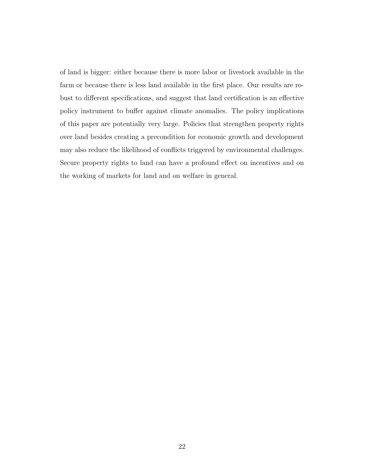of land is bigger: either because there is more labor or livestock available in the farm or because there is less land available in the first place. Our results are robust to different specifications, and suggest that land certification is an effective policy instrument to buffer against climate anomalies. The policy implications of this paper are potentially very large. Policies that strengthen property rights over land besides creating a precondition for economic growth and development may also reduce the likelihood of conflicts triggered by environmental challenges. Secure property rights to land can have a profound effect on incentives and on the working of markets for land and on welfare in general.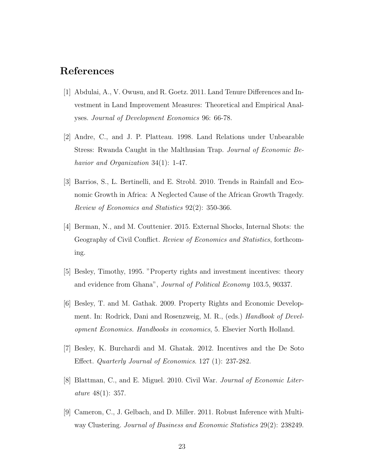# References

- [1] Abdulai, A., V. Owusu, and R. Goetz. 2011. Land Tenure Differences and Investment in Land Improvement Measures: Theoretical and Empirical Analyses. Journal of Development Economics 96: 66-78.
- [2] Andre, C., and J. P. Platteau. 1998. Land Relations under Unbearable Stress: Rwanda Caught in the Malthusian Trap. Journal of Economic Behavior and Organization 34(1): 1-47.
- [3] Barrios, S., L. Bertinelli, and E. Strobl. 2010. Trends in Rainfall and Economic Growth in Africa: A Neglected Cause of the African Growth Tragedy. Review of Economics and Statistics 92(2): 350-366.
- [4] Berman, N., and M. Couttenier. 2015. External Shocks, Internal Shots: the Geography of Civil Conflict. Review of Economics and Statistics, forthcoming.
- [5] Besley, Timothy, 1995. "Property rights and investment incentives: theory and evidence from Ghana", Journal of Political Economy 103.5, 90337.
- [6] Besley, T. and M. Gathak. 2009. Property Rights and Economic Development. In: Rodrick, Dani and Rosenzweig, M. R., (eds.) Handbook of Development Economics. Handbooks in economics, 5. Elsevier North Holland.
- [7] Besley, K. Burchardi and M. Ghatak. 2012. Incentives and the De Soto Effect. Quarterly Journal of Economics. 127 (1): 237-282.
- [8] Blattman, C., and E. Miguel. 2010. Civil War. Journal of Economic Literature 48(1): 357.
- [9] Cameron, C., J. Gelbach, and D. Miller. 2011. Robust Inference with Multiway Clustering. Journal of Business and Economic Statistics 29(2): 238249.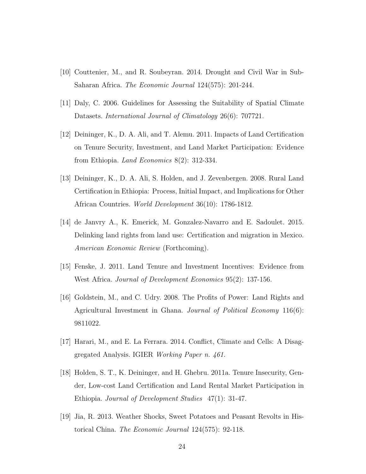- [10] Couttenier, M., and R. Soubeyran. 2014. Drought and Civil War in Sub-Saharan Africa. The Economic Journal 124(575): 201-244.
- [11] Daly, C. 2006. Guidelines for Assessing the Suitability of Spatial Climate Datasets. International Journal of Climatology 26(6): 707721.
- [12] Deininger, K., D. A. Ali, and T. Alemu. 2011. Impacts of Land Certification on Tenure Security, Investment, and Land Market Participation: Evidence from Ethiopia. Land Economics 8(2): 312-334.
- [13] Deininger, K., D. A. Ali, S. Holden, and J. Zevenbergen. 2008. Rural Land Certification in Ethiopia: Process, Initial Impact, and Implications for Other African Countries. World Development 36(10): 1786-1812.
- [14] de Janvry A., K. Emerick, M. Gonzalez-Navarro and E. Sadoulet. 2015. Delinking land rights from land use: Certification and migration in Mexico. American Economic Review (Forthcoming).
- [15] Fenske, J. 2011. Land Tenure and Investment Incentives: Evidence from West Africa. Journal of Development Economics 95(2): 137-156.
- [16] Goldstein, M., and C. Udry. 2008. The Profits of Power: Land Rights and Agricultural Investment in Ghana. Journal of Political Economy 116(6): 9811022.
- [17] Harari, M., and E. La Ferrara. 2014. Conflict, Climate and Cells: A Disaggregated Analysis. IGIER Working Paper n. 461.
- [18] Holden, S. T., K. Deininger, and H. Ghebru. 2011a. Tenure Insecurity, Gender, Low-cost Land Certification and Land Rental Market Participation in Ethiopia. Journal of Development Studies 47(1): 31-47.
- [19] Jia, R. 2013. Weather Shocks, Sweet Potatoes and Peasant Revolts in Historical China. The Economic Journal 124(575): 92-118.